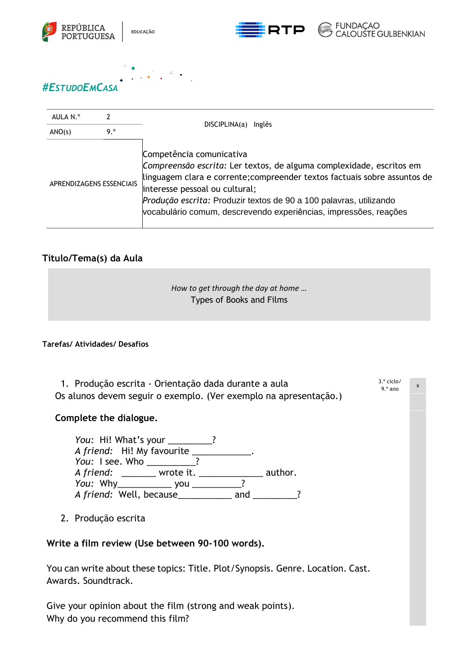



3.º ciclo/ 9.º ano

x



# AULA N.º 2 DISCIPLINA(a) Inglês  $ANO(s)$  9. $^{\circ}$ APRENDIZAGENS ESSENCIAIS Competência comunicativa *Compreensão escrita:* Ler textos, de alguma complexidade, escritos em linguagem clara e corrente;compreender textos factuais sobre assuntos de interesse pessoal ou cultural; *Produção escrita:* Produzir textos de 90 a 100 palavras, utilizando vocabulário comum, descrevendo experiências, impressões, reações

### **Título/Tema(s) da Aula**

| How to get through the day at home |  |
|------------------------------------|--|
| Types of Books and Films           |  |
|                                    |  |

#### **Tarefas/ Atividades/ Desafios**

| 1. Produção escrita - Orientação dada durante a aula             |
|------------------------------------------------------------------|
| Os alunos devem seguir o exemplo. (Ver exemplo na apresentação.) |

#### **Complete the dialogue.**

| You: Hi! What's your _____ |       |     |         |
|----------------------------|-------|-----|---------|
| A friend: Hi! My favourite |       |     |         |
| You: I see. Who            |       |     |         |
| A friend: wrote it.        |       |     | author. |
| <i>You</i> : Why           | vou v |     |         |
| A friend: Well, because    |       | and |         |

2. Produção escrita

#### **Write a film review (Use between 90-100 words).**

You can write about these topics: Title. Plot/Synopsis. Genre. Location. Cast. Awards. Soundtrack.

Give your opinion about the film (strong and weak points). Why do you recommend this film?